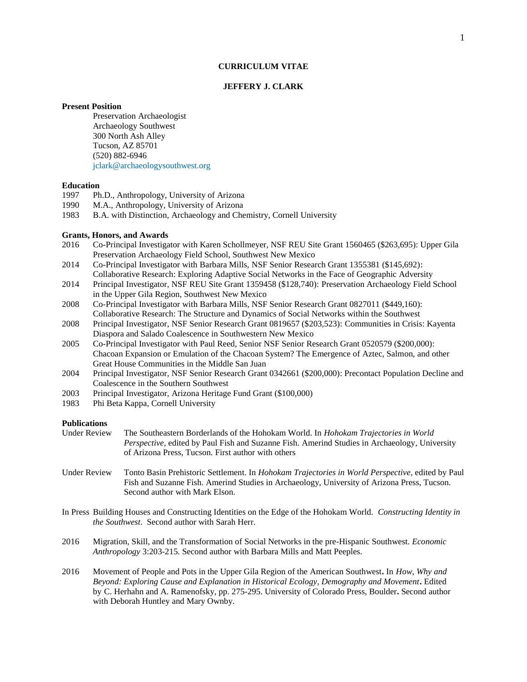# **CURRICULUM VITAE**

### **JEFFERY J. CLARK**

### **Present Position**

Preservation Archaeologist Archaeology Southwest 300 North Ash Alley Tucson, AZ 85701 (520) 882-6946 [jclark@archaeologysouthwest.org](mailto:jclark@archaeologysouthwest.org)

## **Education**

- 1997 Ph.D., Anthropology, University of Arizona
- 1990 M.A., Anthropology, University of Arizona
- 1983 B.A. with Distinction, Archaeology and Chemistry, Cornell University

## **Grants, Honors, and Awards**

- 2016 Co-Principal Investigator with Karen Schollmeyer, NSF REU Site Grant [1560465](https://www.fastlane.nsf.gov/researchadmin/viewAwardLetter.do?awardId=1560465&pageFrom=pi_activeAwardList) (\$263,695): Upper Gila Preservation Archaeology Field School, Southwest New Mexico
- 2014 Co-Principal Investigator with Barbara Mills, NSF Senior Research Grant [1355381](https://www.fastlane.nsf.gov/researchadmin/viewAwardLetter.do?awardId=1355381&pageFrom=pi_activeAwardList) (\$145,692): Collaborative Research: Exploring Adaptive Social Networks in the Face of Geographic Adversity
- 2014 Principal Investigator, NSF REU Site Grant [1359458](https://www.fastlane.nsf.gov/researchadmin/viewAwardLetter.do?awardId=1359458&pageFrom=pi_activeAwardList) (\$128,740): Preservation Archaeology Field School in the Upper Gila Region, Southwest New Mexico
- 2008 Co-Principal Investigator with Barbara Mills, NSF Senior Research Grant 0827011 (\$449,160): Collaborative Research: The Structure and Dynamics of Social Networks within the Southwest
- 2008 Principal Investigator, NSF Senior Research Grant 0819657 (\$203,523): Communities in Crisis: Kayenta Diaspora and Salado Coalescence in Southwestern New Mexico
- 2005 Co-Principal Investigator with Paul Reed, Senior NSF Senior Research Grant 0520579 (\$200,000): Chacoan Expansion or Emulation of the Chacoan System? The Emergence of Aztec, Salmon, and other Great House Communities in the Middle San Juan
- 2004 Principal Investigator, NSF Senior Research Grant 0342661 (\$200,000): Precontact Population Decline and Coalescence in the Southern Southwest
- 2003 Principal Investigator, Arizona Heritage Fund Grant (\$100,000)
- 1983 Phi Beta Kappa, Cornell University

# **Publications**

- Under Review The Southeastern Borderlands of the Hohokam World. In *Hohokam Trajectories in World Perspective,* edited by Paul Fish and Suzanne Fish. Amerind Studies in Archaeology, University of Arizona Press, Tucson. First author with others
- Under Review Tonto Basin Prehistoric Settlement. In *Hohokam Trajectories in World Perspective*, edited by Paul Fish and Suzanne Fish. Amerind Studies in Archaeology, University of Arizona Press, Tucson. Second author with Mark Elson.
- In Press Building Houses and Constructing Identities on the Edge of the Hohokam World. *Constructing Identity in the Southwest*. Second author with Sarah Herr.
- 2016 Migration, Skill, and the Transformation of Social Networks in the pre-Hispanic Southwest. *Economic Anthropology* 3:203-215*.* Second author with Barbara Mills and Matt Peeples.
- 2016 Movement of People and Pots in the Upper Gila Region of the American Southwest**.** In *How, Why and Beyond: Exploring Cause and Explanation in Historical Ecology, Demography and Movement***.** Edited by C. Herhahn and A. Ramenofsky, pp. 275-295. University of Colorado Press, Boulder**.** Second author with Deborah Huntley and Mary Ownby.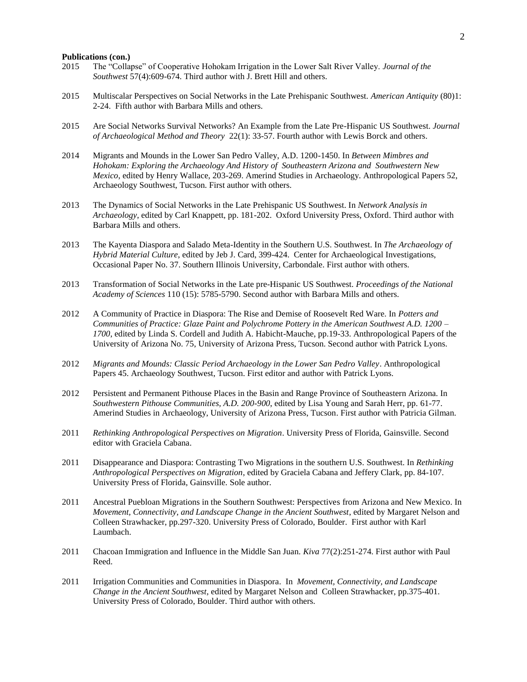#### **Publications (con.)**

- 2015 The "Collapse" of Cooperative Hohokam Irrigation in the Lower Salt River Valley. *Journal of the Southwest* 57(4):609-674*.* Third author with J. Brett Hill and others.
- 2015 Multiscalar Perspectives on Social Networks in the Late Prehispanic Southwest. *American Antiquity* (80)1: 2-24. Fifth author with Barbara Mills and others.
- 2015 Are Social Networks Survival Networks? An Example from the Late Pre-Hispanic US Southwest. *Journal of Archaeological Method and Theory* 22(1): 33-57. Fourth author with Lewis Borck and others.
- 2014 Migrants and Mounds in the Lower San Pedro Valley, A.D. 1200-1450. In *Between Mimbres and Hohokam: Exploring the Archaeology And History of Southeastern Arizona and Southwestern New Mexico*, edited by Henry Wallace, 203-269. Amerind Studies in Archaeology. Anthropological Papers 52, Archaeology Southwest, Tucson. First author with others.
- 2013 The Dynamics of Social Networks in the Late Prehispanic US Southwest. In *Network Analysis in Archaeology*, edited by Carl Knappett, pp. 181-202. Oxford University Press, Oxford. Third author with Barbara Mills and others.
- 2013 The Kayenta Diaspora and Salado Meta-Identity in the Southern U.S. Southwest. In *The Archaeology of Hybrid Material Culture*, edited by Jeb J. Card, 399-424. Center for Archaeological Investigations, Occasional Paper No. 37. Southern Illinois University, Carbondale. First author with others.
- 2013 Transformation of Social Networks in the Late pre-Hispanic US Southwest. *Proceedings of the National Academy of Sciences* 110 (15): 5785-5790. Second author with Barbara Mills and others.
- 2012 A Community of Practice in Diaspora: The Rise and Demise of Roosevelt Red Ware. In *Potters and Communities of Practice: Glaze Paint and Polychrome Pottery in the American Southwest A.D. 1200 – 1700*, edited by Linda S. Cordell and Judith A. Habicht-Mauche, pp.19-33. Anthropological Papers of the University of Arizona No. 75, University of Arizona Press, Tucson. Second author with Patrick Lyons.
- 2012 *Migrants and Mounds: Classic Period Archaeology in the Lower San Pedro Valley*. Anthropological Papers 45. Archaeology Southwest, Tucson. First editor and author with Patrick Lyons.
- 2012 Persistent and Permanent Pithouse Places in the Basin and Range Province of Southeastern Arizona. In *Southwestern Pithouse Communities, A.D. 200-900*, edited by Lisa Young and Sarah Herr, pp. 61-77. Amerind Studies in Archaeology, University of Arizona Press, Tucson. First author with Patricia Gilman.
- 2011 *Rethinking Anthropological Perspectives on Migration*. University Press of Florida, Gainsville. Second editor with Graciela Cabana.
- 2011 Disappearance and Diaspora: Contrasting Two Migrations in the southern U.S. Southwest. In *Rethinking Anthropological Perspectives on Migration*, edited by Graciela Cabana and Jeffery Clark, pp. 84-107. University Press of Florida, Gainsville. Sole author.
- 2011 Ancestral Puebloan Migrations in the Southern Southwest: Perspectives from Arizona and New Mexico. In *Movement, Connectivity, and Landscape Change in the Ancient Southwest*, edited by Margaret Nelson and Colleen Strawhacker, pp.297-320. University Press of Colorado, Boulder. First author with Karl Laumbach.
- 2011 Chacoan Immigration and Influence in the Middle San Juan. *Kiva* 77(2):251-274. First author with Paul Reed.
- 2011 Irrigation Communities and Communities in Diaspora. In *Movement, Connectivity, and Landscape Change in the Ancient Southwest*, edited by Margaret Nelson and Colleen Strawhacker, pp.375-401. University Press of Colorado, Boulder. Third author with others.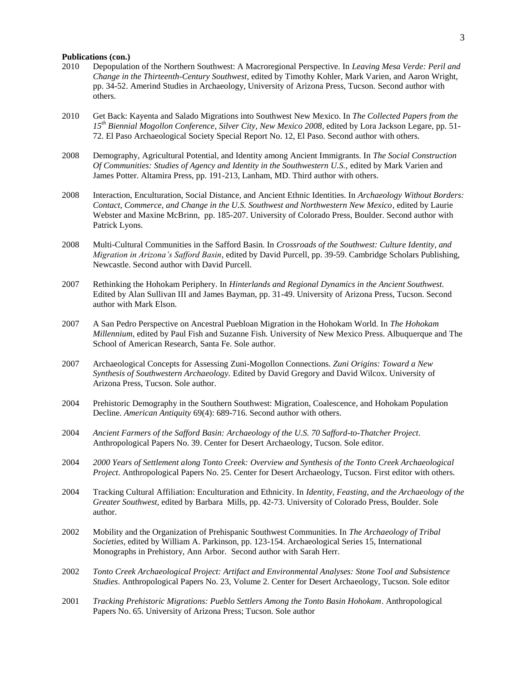### **Publications (con.)**

- 2010 Depopulation of the Northern Southwest: A Macroregional Perspective. In *Leaving Mesa Verde: Peril and Change in the Thirteenth-Century Southwest*, edited by Timothy Kohler, Mark Varien, and Aaron Wright, pp. 34-52. Amerind Studies in Archaeology, University of Arizona Press, Tucson. Second author with others.
- 2010 Get Back: Kayenta and Salado Migrations into Southwest New Mexico. In *The Collected Papers from the 15th Biennial Mogollon Conference*, *Silver City, New Mexico 2008,* edited by Lora Jackson Legare, pp. 51- 72. El Paso Archaeological Society Special Report No. 12, El Paso. Second author with others.
- 2008 Demography, Agricultural Potential, and Identity among Ancient Immigrants. In *The Social Construction Of Communities: Studies of Agency and Identity in the Southwestern U.S.,* edited by Mark Varien and James Potter. Altamira Press, pp. 191-213, Lanham, MD. Third author with others.
- 2008 Interaction, Enculturation, Social Distance, and Ancient Ethnic Identities. In *Archaeology Without Borders: Contact, Commerce, and Change in the U.S. Southwest and Northwestern New Mexico*, edited by Laurie Webster and Maxine McBrinn, pp. 185-207. University of Colorado Press, Boulder. Second author with Patrick Lyons.
- 2008 Multi-Cultural Communities in the Safford Basin. In *Crossroads of the Southwest: Culture Identity, and Migration in Arizona's Safford Basin*, edited by David Purcell, pp. 39-59. Cambridge Scholars Publishing, Newcastle. Second author with David Purcell.
- 2007 Rethinking the Hohokam Periphery. In *Hinterlands and Regional Dynamics in the Ancient Southwest.* Edited by Alan Sullivan III and James Bayman, pp. 31-49. University of Arizona Press, Tucson. Second author with Mark Elson.
- 2007 A San Pedro Perspective on Ancestral Puebloan Migration in the Hohokam World. In *The Hohokam Millennium*, edited by Paul Fish and Suzanne Fish. University of New Mexico Press. Albuquerque and The School of American Research, Santa Fe. Sole author.
- 2007 Archaeological Concepts for Assessing Zuni-Mogollon Connections. *Zuni Origins: Toward a New Synthesis of Southwestern Archaeology.* Edited by David Gregory and David Wilcox. University of Arizona Press, Tucson. Sole author.
- 2004 Prehistoric Demography in the Southern Southwest: Migration, Coalescence, and Hohokam Population Decline. *American Antiquity* 69(4): 689-716. Second author with others.
- 2004 *Ancient Farmers of the Safford Basin: Archaeology of the U.S. 70 Safford-to-Thatcher Project*. Anthropological Papers No. 39. Center for Desert Archaeology, Tucson. Sole editor.
- 2004 *2000 Years of Settlement along Tonto Creek: Overview and Synthesis of the Tonto Creek Archaeological Project*. Anthropological Papers No. 25. Center for Desert Archaeology, Tucson. First editor with others.
- 2004 Tracking Cultural Affiliation: Enculturation and Ethnicity. In *Identity, Feasting, and the Archaeology of the Greater Southwest*, edited by Barbara Mills, pp. 42-73. University of Colorado Press, Boulder. Sole author.
- 2002 Mobility and the Organization of Prehispanic Southwest Communities. In *The Archaeology of Tribal Societies*, edited by William A. Parkinson, pp. 123-154. Archaeological Series 15, International Monographs in Prehistory, Ann Arbor. Second author with Sarah Herr.
- 2002 *Tonto Creek Archaeological Project: Artifact and Environmental Analyses: Stone Tool and Subsistence Studies*. Anthropological Papers No. 23, Volume 2. Center for Desert Archaeology, Tucson. Sole editor
- 2001 *Tracking Prehistoric Migrations: Pueblo Settlers Among the Tonto Basin Hohokam*. Anthropological Papers No. 65. University of Arizona Press; Tucson. Sole author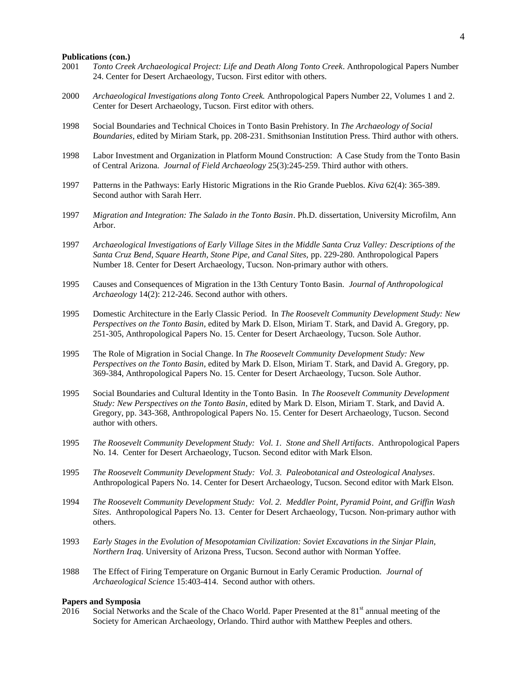#### **Publications (con.)**

- 2001 *Tonto Creek Archaeological Project: Life and Death Along Tonto Creek*. Anthropological Papers Number 24. Center for Desert Archaeology, Tucson. First editor with others.
- 2000 *Archaeological Investigations along Tonto Creek.* Anthropological Papers Number 22, Volumes 1 and 2. Center for Desert Archaeology, Tucson. First editor with others.
- 1998 Social Boundaries and Technical Choices in Tonto Basin Prehistory. In *The Archaeology of Social Boundaries,* edited by Miriam Stark, pp. 208-231. Smithsonian Institution Press. Third author with others.
- 1998 Labor Investment and Organization in Platform Mound Construction: A Case Study from the Tonto Basin of Central Arizona. *Journal of Field Archaeology* 25(3):245-259. Third author with others.
- 1997 Patterns in the Pathways: Early Historic Migrations in the Rio Grande Pueblos. *Kiva* 62(4): 365-389. Second author with Sarah Herr.
- 1997 *Migration and Integration: The Salado in the Tonto Basin*. Ph.D. dissertation, University Microfilm, Ann Arbor.
- 1997 *Archaeological Investigations of Early Village Sites in the Middle Santa Cruz Valley: Descriptions of the Santa Cruz Bend, Square Hearth, Stone Pipe, and Canal Sites,* pp. 229-280*.* Anthropological Papers Number 18. Center for Desert Archaeology, Tucson. Non-primary author with others.
- 1995 Causes and Consequences of Migration in the 13th Century Tonto Basin. *Journal of Anthropological Archaeology* 14(2): 212-246. Second author with others.
- 1995 Domestic Architecture in the Early Classic Period. In *The Roosevelt Community Development Study: New Perspectives on the Tonto Basin*, edited by Mark D. Elson, Miriam T. Stark, and David A. Gregory, pp. 251-305, Anthropological Papers No. 15. Center for Desert Archaeology, Tucson. Sole Author.
- 1995 The Role of Migration in Social Change. In *The Roosevelt Community Development Study: New Perspectives on the Tonto Basin*, edited by Mark D. Elson, Miriam T. Stark, and David A. Gregory, pp. 369-384, Anthropological Papers No. 15. Center for Desert Archaeology, Tucson. Sole Author.
- 1995 Social Boundaries and Cultural Identity in the Tonto Basin. In *The Roosevelt Community Development Study: New Perspectives on the Tonto Basin*, edited by Mark D. Elson, Miriam T. Stark, and David A. Gregory, pp. 343-368, Anthropological Papers No. 15. Center for Desert Archaeology, Tucson. Second author with others.
- 1995 *The Roosevelt Community Development Study: Vol. 1. Stone and Shell Artifacts*. Anthropological Papers No. 14. Center for Desert Archaeology, Tucson. Second editor with Mark Elson.
- 1995 *The Roosevelt Community Development Study: Vol. 3. Paleobotanical and Osteological Analyses*. Anthropological Papers No. 14. Center for Desert Archaeology, Tucson. Second editor with Mark Elson.
- 1994 *The Roosevelt Community Development Study: Vol. 2. Meddler Point, Pyramid Point, and Griffin Wash Sites*. Anthropological Papers No. 13. Center for Desert Archaeology, Tucson. Non-primary author with others.
- 1993 *Early Stages in the Evolution of Mesopotamian Civilization: Soviet Excavations in the Sinjar Plain, Northern Iraq.* University of Arizona Press, Tucson. Second author with Norman Yoffee.
- 1988 The Effect of Firing Temperature on Organic Burnout in Early Ceramic Production. *Journal of Archaeological Science* 15:403-414. Second author with others.

### **Papers and Symposia**

2016 Social Networks and the Scale of the Chaco World. Paper Presented at the 81<sup>st</sup> annual meeting of the Society for American Archaeology, Orlando. Third author with Matthew Peeples and others.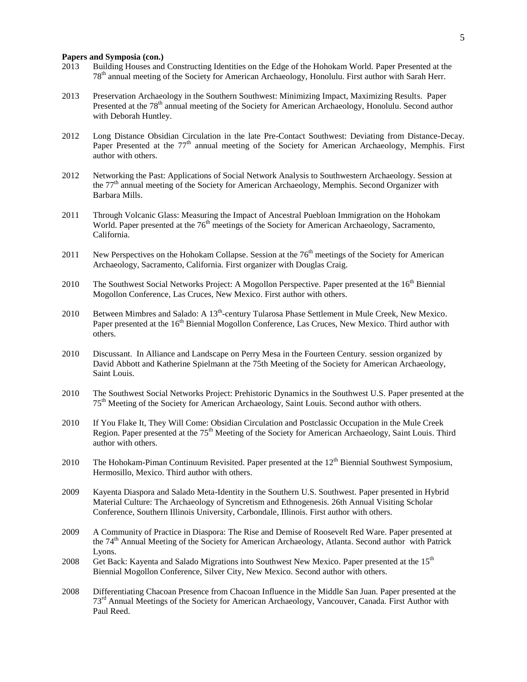# **Papers and Symposia (con.)**

- 2013 Building Houses and Constructing Identities on the Edge of the Hohokam World. Paper Presented at the 78<sup>th</sup> annual meeting of the Society for American Archaeology, Honolulu. First author with Sarah Herr.
- 2013 Preservation Archaeology in the Southern Southwest: Minimizing Impact, Maximizing Results. Paper Presented at the 78<sup>th</sup> annual meeting of the Society for American Archaeology, Honolulu. Second author with Deborah Huntley.
- 2012 Long Distance Obsidian Circulation in the late Pre-Contact Southwest: Deviating from Distance-Decay. Paper Presented at the  $77<sup>th</sup>$  annual meeting of the Society for American Archaeology, Memphis. First author with others.
- 2012 Networking the Past: Applications of Social Network Analysis to Southwestern Archaeology. Session at the  $77<sup>th</sup>$  annual meeting of the Society for American Archaeology, Memphis. Second Organizer with Barbara Mills.
- 2011 Through Volcanic Glass: Measuring the Impact of Ancestral Puebloan Immigration on the Hohokam World. Paper presented at the 76<sup>th</sup> meetings of the Society for American Archaeology, Sacramento, California.
- 2011 New Perspectives on the Hohokam Collapse. Session at the  $76<sup>th</sup>$  meetings of the Society for American Archaeology, Sacramento, California. First organizer with Douglas Craig.
- 2010 The Southwest Social Networks Project: A Mogollon Perspective. Paper presented at the 16<sup>th</sup> Biennial Mogollon Conference, Las Cruces, New Mexico. First author with others.
- 2010 Between Mimbres and Salado: A 13<sup>th</sup>-century Tularosa Phase Settlement in Mule Creek, New Mexico. Paper presented at the 16<sup>th</sup> Biennial Mogollon Conference, Las Cruces, New Mexico. Third author with others.
- 2010 Discussant. In Alliance and Landscape on Perry Mesa in the Fourteen Century. session organized by David Abbott and Katherine Spielmann at the 75th Meeting of the Society for American Archaeology, Saint Louis.
- 2010 The Southwest Social Networks Project: Prehistoric Dynamics in the Southwest U.S. Paper presented at the 75th Meeting of the Society for American Archaeology, Saint Louis. Second author with others.
- 2010 If You Flake It, They Will Come: Obsidian Circulation and Postclassic Occupation in the Mule Creek Region. Paper presented at the 75<sup>th</sup> Meeting of the Society for American Archaeology, Saint Louis. Third author with others.
- 2010 The Hohokam-Piman Continuum Revisited. Paper presented at the  $12<sup>th</sup>$  Biennial Southwest Symposium, Hermosillo, Mexico. Third author with others.
- 2009 Kayenta Diaspora and Salado Meta-Identity in the Southern U.S. Southwest. Paper presented in Hybrid Material Culture: The Archaeology of Syncretism and Ethnogenesis. 26th Annual Visiting Scholar Conference, Southern Illinois University, Carbondale, Illinois. First author with others.
- 2009 A Community of Practice in Diaspora: The Rise and Demise of Roosevelt Red Ware. Paper presented at the 74<sup>th</sup> Annual Meeting of the Society for American Archaeology, Atlanta. Second author with Patrick Lyons.
- 2008 Get Back: Kayenta and Salado Migrations into Southwest New Mexico. Paper presented at the  $15<sup>th</sup>$ Biennial Mogollon Conference, Silver City, New Mexico. Second author with others.
- 2008 Differentiating Chacoan Presence from Chacoan Influence in the Middle San Juan. Paper presented at the 73<sup>rd</sup> Annual Meetings of the Society for American Archaeology, Vancouver, Canada. First Author with Paul Reed.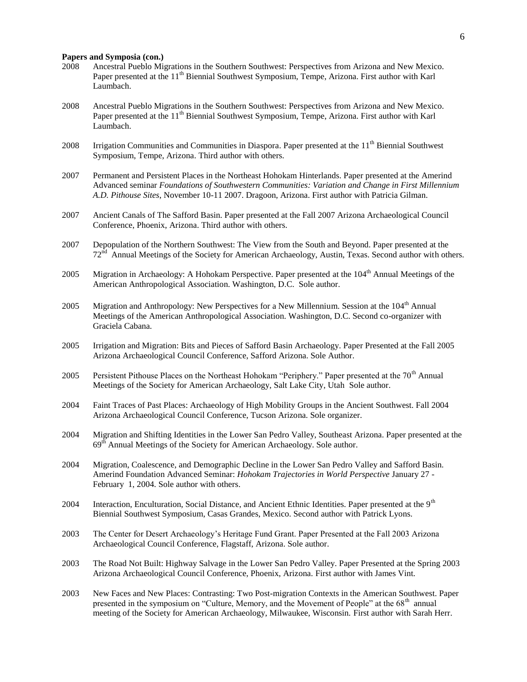# **Papers and Symposia (con.)**

- 2008 Ancestral Pueblo Migrations in the Southern Southwest: Perspectives from Arizona and New Mexico. Paper presented at the  $11<sup>th</sup>$  Biennial Southwest Symposium, Tempe, Arizona. First author with Karl Laumbach.
- 2008 Ancestral Pueblo Migrations in the Southern Southwest: Perspectives from Arizona and New Mexico. Paper presented at the  $11<sup>th</sup>$  Biennial Southwest Symposium, Tempe, Arizona. First author with Karl Laumbach.
- 2008 Irrigation Communities and Communities in Diaspora. Paper presented at the  $11<sup>th</sup>$  Biennial Southwest Symposium, Tempe, Arizona. Third author with others.
- 2007 Permanent and Persistent Places in the Northeast Hohokam Hinterlands. Paper presented at the Amerind Advanced seminar *Foundations of Southwestern Communities: Variation and Change in First Millennium A.D. Pithouse Sites*, November 10-11 2007. Dragoon, Arizona. First author with Patricia Gilman.
- 2007 Ancient Canals of The Safford Basin. Paper presented at the Fall 2007 Arizona Archaeological Council Conference, Phoenix, Arizona. Third author with others.
- 2007 Depopulation of the Northern Southwest: The View from the South and Beyond. Paper presented at the 72<sup>nd</sup> Annual Meetings of the Society for American Archaeology, Austin, Texas. Second author with others.
- 2005 Migration in Archaeology: A Hohokam Perspective. Paper presented at the 104<sup>th</sup> Annual Meetings of the American Anthropological Association. Washington, D.C. Sole author.
- 2005 Migration and Anthropology: New Perspectives for a New Millennium. Session at the  $104<sup>th</sup>$  Annual Meetings of the American Anthropological Association. Washington, D.C. Second co-organizer with Graciela Cabana.
- 2005 Irrigation and Migration: Bits and Pieces of Safford Basin Archaeology. Paper Presented at the Fall 2005 Arizona Archaeological Council Conference, Safford Arizona. Sole Author.
- 2005 Persistent Pithouse Places on the Northeast Hohokam "Periphery." Paper presented at the 70<sup>th</sup> Annual Meetings of the Society for American Archaeology, Salt Lake City, UtahSole author.
- 2004 Faint Traces of Past Places: Archaeology of High Mobility Groups in the Ancient Southwest. Fall 2004 Arizona Archaeological Council Conference, Tucson Arizona. Sole organizer.
- 2004 Migration and Shifting Identities in the Lower San Pedro Valley, Southeast Arizona. Paper presented at the 69<sup>th</sup> Annual Meetings of the Society for American Archaeology. Sole author.
- 2004 Migration, Coalescence, and Demographic Decline in the Lower San Pedro Valley and Safford Basin. Amerind Foundation Advanced Seminar: *Hohokam Trajectories in World Perspective* January 27 - February 1, 2004. Sole author with others.
- 2004 Interaction, Enculturation, Social Distance, and Ancient Ethnic Identities. Paper presented at the 9<sup>th</sup> Biennial Southwest Symposium, Casas Grandes, Mexico. Second author with Patrick Lyons.
- 2003 The Center for Desert Archaeology's Heritage Fund Grant. Paper Presented at the Fall 2003 Arizona Archaeological Council Conference, Flagstaff, Arizona. Sole author.
- 2003 The Road Not Built: Highway Salvage in the Lower San Pedro Valley. Paper Presented at the Spring 2003 Arizona Archaeological Council Conference, Phoenix, Arizona. First author with James Vint.
- 2003 New Faces and New Places: Contrasting: Two Post-migration Contexts in the American Southwest. Paper presented in the symposium on "Culture, Memory, and the Movement of People" at the 68<sup>th</sup> annual meeting of the Society for American Archaeology, Milwaukee, Wisconsin. First author with Sarah Herr.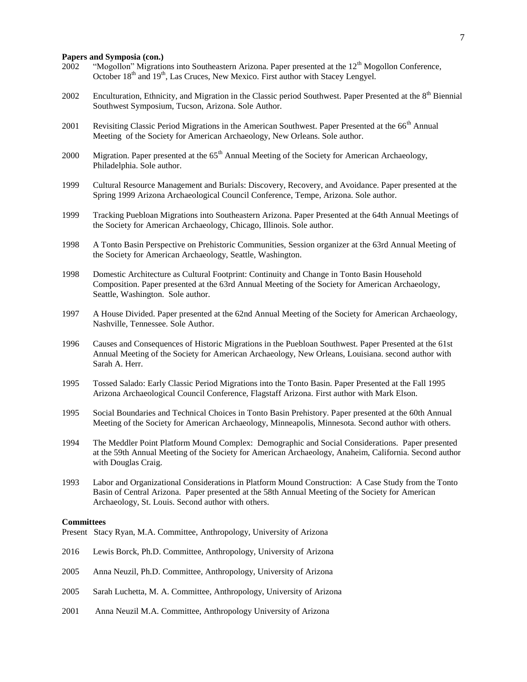# **Papers and Symposia (con.)**

- 2002 "Mogollon" Migrations into Southeastern Arizona. Paper presented at the 12<sup>th</sup> Mogollon Conference. October 18<sup>th</sup> and 19<sup>th</sup>, Las Cruces, New Mexico. First author with Stacey Lengyel.
- 2002 Enculturation, Ethnicity, and Migration in the Classic period Southwest. Paper Presented at the  $8<sup>th</sup>$  Biennial Southwest Symposium, Tucson, Arizona. Sole Author.
- 2001 Revisiting Classic Period Migrations in the American Southwest. Paper Presented at the  $66<sup>th</sup>$  Annual Meeting of the Society for American Archaeology, New Orleans. Sole author.
- 2000 Migration. Paper presented at the 65<sup>th</sup> Annual Meeting of the Society for American Archaeology, Philadelphia. Sole author.
- 1999 Cultural Resource Management and Burials: Discovery, Recovery, and Avoidance. Paper presented at the Spring 1999 Arizona Archaeological Council Conference, Tempe, Arizona. Sole author.
- 1999 Tracking Puebloan Migrations into Southeastern Arizona. Paper Presented at the 64th Annual Meetings of the Society for American Archaeology, Chicago, Illinois. Sole author.
- 1998 A Tonto Basin Perspective on Prehistoric Communities, Session organizer at the 63rd Annual Meeting of the Society for American Archaeology, Seattle, Washington.
- 1998 Domestic Architecture as Cultural Footprint: Continuity and Change in Tonto Basin Household Composition. Paper presented at the 63rd Annual Meeting of the Society for American Archaeology, Seattle, Washington. Sole author.
- 1997 A House Divided. Paper presented at the 62nd Annual Meeting of the Society for American Archaeology, Nashville, Tennessee. Sole Author.
- 1996 Causes and Consequences of Historic Migrations in the Puebloan Southwest. Paper Presented at the 61st Annual Meeting of the Society for American Archaeology, New Orleans, Louisiana. second author with Sarah A. Herr.
- 1995 Tossed Salado: Early Classic Period Migrations into the Tonto Basin. Paper Presented at the Fall 1995 Arizona Archaeological Council Conference, Flagstaff Arizona. First author with Mark Elson.
- 1995 Social Boundaries and Technical Choices in Tonto Basin Prehistory. Paper presented at the 60th Annual Meeting of the Society for American Archaeology, Minneapolis, Minnesota. Second author with others.
- 1994 The Meddler Point Platform Mound Complex: Demographic and Social Considerations. Paper presented at the 59th Annual Meeting of the Society for American Archaeology, Anaheim, California. Second author with Douglas Craig.
- 1993 Labor and Organizational Considerations in Platform Mound Construction: A Case Study from the Tonto Basin of Central Arizona. Paper presented at the 58th Annual Meeting of the Society for American Archaeology, St. Louis. Second author with others.

#### **Committees**

Present Stacy Ryan, M.A. Committee, Anthropology, University of Arizona

- 2016 Lewis Borck, Ph.D. Committee, Anthropology, University of Arizona
- 2005 Anna Neuzil, Ph.D. Committee, Anthropology, University of Arizona
- 2005 Sarah Luchetta, M. A. Committee, Anthropology, University of Arizona
- 2001 Anna Neuzil M.A. Committee, Anthropology University of Arizona